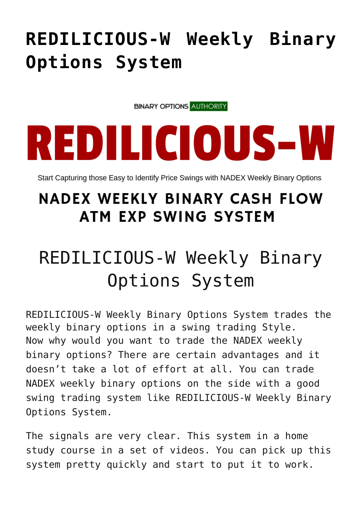## **[REDILICIOUS-W Weekly Binary](https://binaryoptionsauthority.com/redilicious-w-weekly-binary-options-system/) [Options System](https://binaryoptionsauthority.com/redilicious-w-weekly-binary-options-system/)**

**BINARY OPTIONS AUTHORITY** 

## REDILICIOUS-W

Start Capturing those Easy to Identify Price Swings with NADEX Weekly Binary Options

## **NADEX WEEKLY BINARY CASH FLOW ATM EXP SWING SYSTEM**

## REDILICIOUS-W Weekly Binary Options System

REDILICIOUS-W Weekly Binary Options System trades the weekly binary options in a swing trading Style. Now why would you want to trade the NADEX weekly binary options? There are certain advantages and it doesn't take a lot of effort at all. You can trade NADEX weekly binary options on the side with a good swing trading system like REDILICIOUS-W Weekly Binary Options System.

The signals are very clear. This system in a home study course in a set of videos. You can pick up this system pretty quickly and start to put it to work.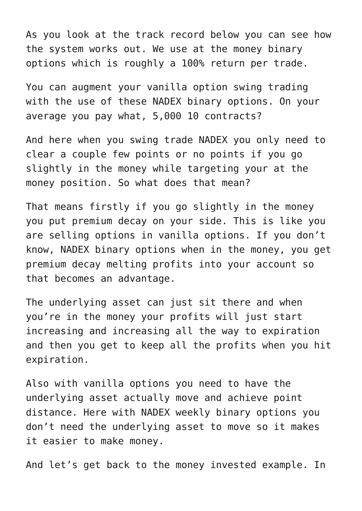As you look at the track record below you can see how the system works out. We use at the money binary options which is roughly a 100% return per trade.

You can augment your vanilla option swing trading with the use of these NADEX binary options. On your average you pay what, 5,000 10 contracts?

And here when you swing trade NADEX you only need to clear a couple few points or no points if you go slightly in the money while targeting your at the money position. So what does that mean?

That means firstly if you go slightly in the money you put premium decay on your side. This is like you are selling options in vanilla options. If you don't know, NADEX binary options when in the money, you get premium decay melting profits into your account so that becomes an advantage.

The underlying asset can just sit there and when you're in the money your profits will just start increasing and increasing all the way to expiration and then you get to keep all the profits when you hit expiration.

Also with vanilla options you need to have the underlying asset actually move and achieve point distance. Here with NADEX weekly binary options you don't need the underlying asset to move so it makes it easier to make money.

And let's get back to the money invested example. In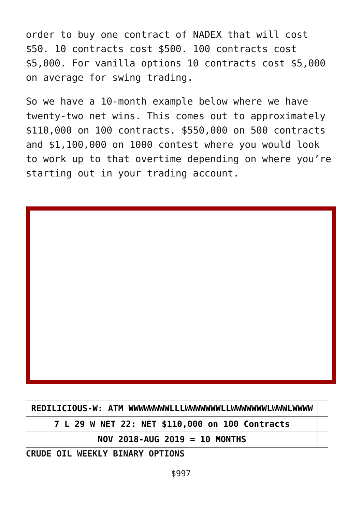order to buy one contract of NADEX that will cost \$50. 10 contracts cost \$500. 100 contracts cost \$5,000. For vanilla options 10 contracts cost \$5,000 on average for swing trading.

So we have a 10-month example below where we have twenty-two net wins. This comes out to approximately \$110,000 on 100 contracts. \$550,000 on 500 contracts and \$1,100,000 on 1000 contest where you would look to work up to that overtime depending on where you're starting out in your trading account.

**REDILICIOUS-W: ATM WWWWWWWWLLLWWWWWWWLLWWWWWWWLWWWLWWWW**

**7 L 29 W NET 22: NET \$110,000 on 100 Contracts**

**NOV 2018-AUG 2019 = 10 MONTHS**

**CRUDE OIL WEEKLY BINARY OPTIONS**